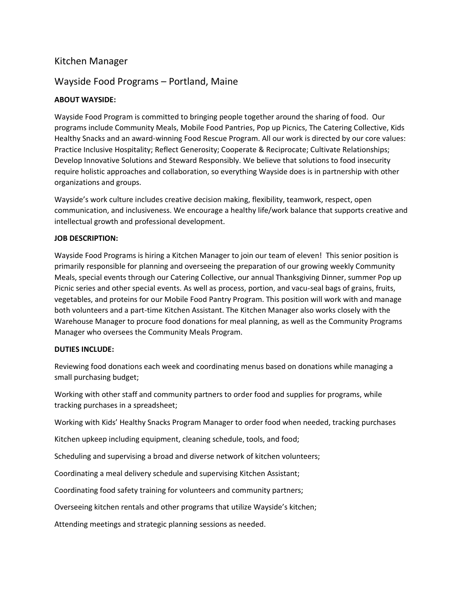# Kitchen Manager

## Wayside Food Programs – Portland, Maine

## **ABOUT WAYSIDE:**

Wayside Food Program is committed to bringing people together around the sharing of food. Our programs include Community Meals, Mobile Food Pantries, Pop up Picnics, The Catering Collective, Kids Healthy Snacks and an award-winning Food Rescue Program. All our work is directed by our core values: Practice Inclusive Hospitality; Reflect Generosity; Cooperate & Reciprocate; Cultivate Relationships; Develop Innovative Solutions and Steward Responsibly. We believe that solutions to food insecurity require holistic approaches and collaboration, so everything Wayside does is in partnership with other organizations and groups.

Wayside's work culture includes creative decision making, flexibility, teamwork, respect, open communication, and inclusiveness. We encourage a healthy life/work balance that supports creative and intellectual growth and professional development.

### **JOB DESCRIPTION:**

Wayside Food Programs is hiring a Kitchen Manager to join our team of eleven! This senior position is primarily responsible for planning and overseeing the preparation of our growing weekly Community Meals, special events through our Catering Collective, our annual Thanksgiving Dinner, summer Pop up Picnic series and other special events. As well as process, portion, and vacu-seal bags of grains, fruits, vegetables, and proteins for our Mobile Food Pantry Program. This position will work with and manage both volunteers and a part-time Kitchen Assistant. The Kitchen Manager also works closely with the Warehouse Manager to procure food donations for meal planning, as well as the Community Programs Manager who oversees the Community Meals Program.

#### **DUTIES INCLUDE:**

Reviewing food donations each week and coordinating menus based on donations while managing a small purchasing budget;

Working with other staff and community partners to order food and supplies for programs, while tracking purchases in a spreadsheet;

Working with Kids' Healthy Snacks Program Manager to order food when needed, tracking purchases

Kitchen upkeep including equipment, cleaning schedule, tools, and food;

Scheduling and supervising a broad and diverse network of kitchen volunteers;

Coordinating a meal delivery schedule and supervising Kitchen Assistant;

Coordinating food safety training for volunteers and community partners;

Overseeing kitchen rentals and other programs that utilize Wayside's kitchen;

Attending meetings and strategic planning sessions as needed.